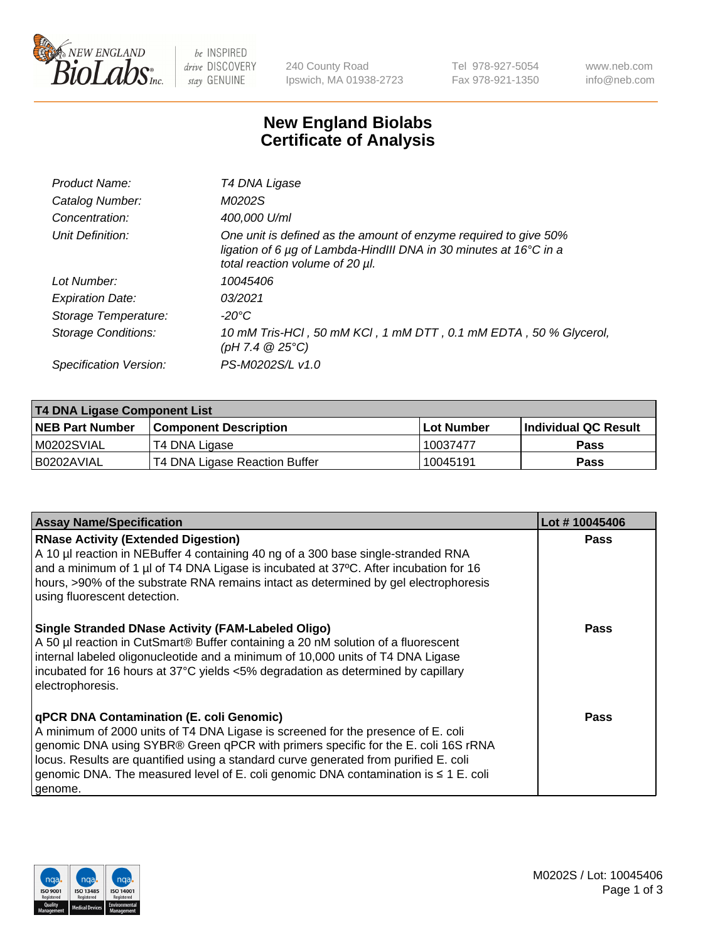

 $be$  INSPIRED drive DISCOVERY stay GENUINE

240 County Road Ipswich, MA 01938-2723 Tel 978-927-5054 Fax 978-921-1350 www.neb.com info@neb.com

## **New England Biolabs Certificate of Analysis**

| Product Name:              | T4 DNA Ligase                                                                                                                                                            |
|----------------------------|--------------------------------------------------------------------------------------------------------------------------------------------------------------------------|
| Catalog Number:            | M0202S                                                                                                                                                                   |
| Concentration:             | 400,000 U/ml                                                                                                                                                             |
| Unit Definition:           | One unit is defined as the amount of enzyme required to give 50%<br>ligation of 6 µg of Lambda-HindIII DNA in 30 minutes at 16°C in a<br>total reaction volume of 20 µl. |
| Lot Number:                | 10045406                                                                                                                                                                 |
| <b>Expiration Date:</b>    | 03/2021                                                                                                                                                                  |
| Storage Temperature:       | -20°C                                                                                                                                                                    |
| <b>Storage Conditions:</b> | 10 mM Tris-HCl, 50 mM KCl, 1 mM DTT, 0.1 mM EDTA, 50 % Glycerol,<br>(pH 7.4 $@25°C$ )                                                                                    |
| Specification Version:     | PS-M0202S/L v1.0                                                                                                                                                         |

| <b>T4 DNA Ligase Component List</b> |                               |            |                             |  |
|-------------------------------------|-------------------------------|------------|-----------------------------|--|
| <b>NEB Part Number</b>              | <b>Component Description</b>  | Lot Number | <b>Individual QC Result</b> |  |
| M0202SVIAL                          | T4 DNA Ligase                 | 10037477   | <b>Pass</b>                 |  |
| I B0202AVIAL                        | T4 DNA Ligase Reaction Buffer | 10045191   | <b>Pass</b>                 |  |

| <b>Assay Name/Specification</b>                                                                                                                                                                                                                                                                                                                                                                                  | Lot #10045406 |
|------------------------------------------------------------------------------------------------------------------------------------------------------------------------------------------------------------------------------------------------------------------------------------------------------------------------------------------------------------------------------------------------------------------|---------------|
| <b>RNase Activity (Extended Digestion)</b><br>A 10 µl reaction in NEBuffer 4 containing 40 ng of a 300 base single-stranded RNA<br>and a minimum of 1 µl of T4 DNA Ligase is incubated at 37°C. After incubation for 16<br>hours, >90% of the substrate RNA remains intact as determined by gel electrophoresis<br>using fluorescent detection.                                                                  | <b>Pass</b>   |
| <b>Single Stranded DNase Activity (FAM-Labeled Oligo)</b><br>A 50 µl reaction in CutSmart® Buffer containing a 20 nM solution of a fluorescent<br>internal labeled oligonucleotide and a minimum of 10,000 units of T4 DNA Ligase<br>incubated for 16 hours at 37°C yields <5% degradation as determined by capillary<br>electrophoresis.                                                                        | <b>Pass</b>   |
| qPCR DNA Contamination (E. coli Genomic)<br>A minimum of 2000 units of T4 DNA Ligase is screened for the presence of E. coli<br>genomic DNA using SYBR® Green qPCR with primers specific for the E. coli 16S rRNA<br>locus. Results are quantified using a standard curve generated from purified E. coli<br>genomic DNA. The measured level of E. coli genomic DNA contamination is $\leq 1$ E. coli<br>genome. | Pass          |

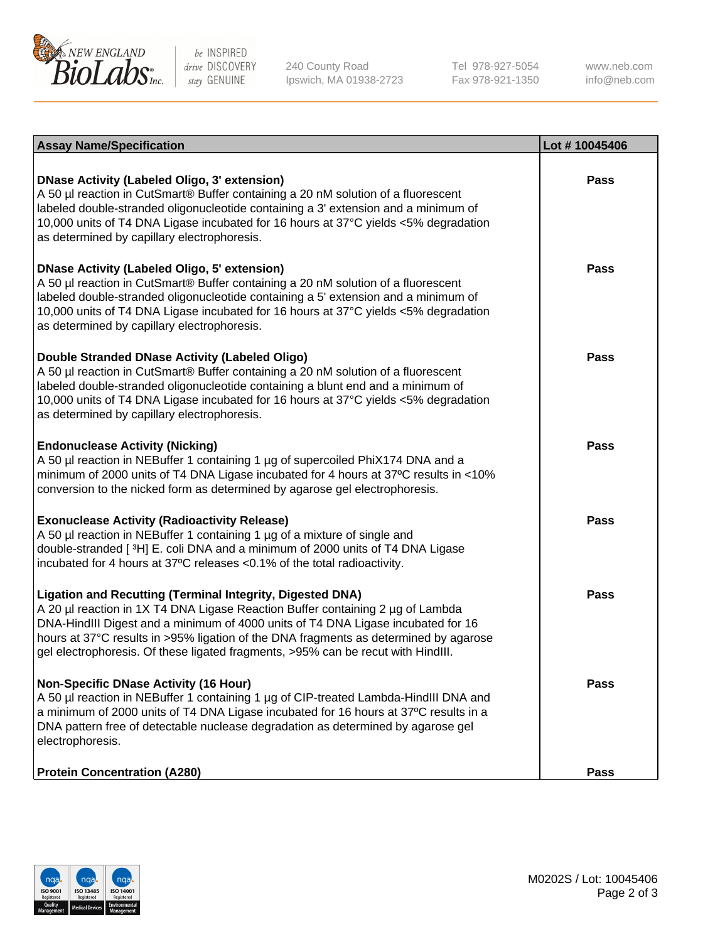

be INSPIRED drive DISCOVERY stay GENUINE

240 County Road Ipswich, MA 01938-2723 Tel 978-927-5054 Fax 978-921-1350

www.neb.com info@neb.com

| <b>Assay Name/Specification</b>                                                                                                                                                                                                                                                                                                                                                                                    | Lot #10045406 |
|--------------------------------------------------------------------------------------------------------------------------------------------------------------------------------------------------------------------------------------------------------------------------------------------------------------------------------------------------------------------------------------------------------------------|---------------|
| <b>DNase Activity (Labeled Oligo, 3' extension)</b><br>A 50 µl reaction in CutSmart® Buffer containing a 20 nM solution of a fluorescent<br>labeled double-stranded oligonucleotide containing a 3' extension and a minimum of<br>10,000 units of T4 DNA Ligase incubated for 16 hours at 37°C yields <5% degradation<br>as determined by capillary electrophoresis.                                               | Pass          |
| <b>DNase Activity (Labeled Oligo, 5' extension)</b><br>A 50 µl reaction in CutSmart® Buffer containing a 20 nM solution of a fluorescent<br>labeled double-stranded oligonucleotide containing a 5' extension and a minimum of<br>10,000 units of T4 DNA Ligase incubated for 16 hours at 37°C yields <5% degradation<br>as determined by capillary electrophoresis.                                               | <b>Pass</b>   |
| Double Stranded DNase Activity (Labeled Oligo)<br>A 50 µl reaction in CutSmart® Buffer containing a 20 nM solution of a fluorescent<br>labeled double-stranded oligonucleotide containing a blunt end and a minimum of<br>10,000 units of T4 DNA Ligase incubated for 16 hours at 37°C yields <5% degradation<br>as determined by capillary electrophoresis.                                                       | Pass          |
| <b>Endonuclease Activity (Nicking)</b><br>A 50 µl reaction in NEBuffer 1 containing 1 µg of supercoiled PhiX174 DNA and a<br>minimum of 2000 units of T4 DNA Ligase incubated for 4 hours at 37°C results in <10%<br>conversion to the nicked form as determined by agarose gel electrophoresis.                                                                                                                   | Pass          |
| <b>Exonuclease Activity (Radioactivity Release)</b><br>A 50 µl reaction in NEBuffer 1 containing 1 µg of a mixture of single and<br>double-stranded [3H] E. coli DNA and a minimum of 2000 units of T4 DNA Ligase<br>incubated for 4 hours at 37°C releases <0.1% of the total radioactivity.                                                                                                                      | <b>Pass</b>   |
| <b>Ligation and Recutting (Terminal Integrity, Digested DNA)</b><br>A 20 µl reaction in 1X T4 DNA Ligase Reaction Buffer containing 2 µg of Lambda<br>DNA-HindIII Digest and a minimum of 4000 units of T4 DNA Ligase incubated for 16<br>hours at 37°C results in >95% ligation of the DNA fragments as determined by agarose<br>gel electrophoresis. Of these ligated fragments, >95% can be recut with HindIII. | Pass          |
| <b>Non-Specific DNase Activity (16 Hour)</b><br>A 50 µl reaction in NEBuffer 1 containing 1 µg of CIP-treated Lambda-HindIII DNA and<br>a minimum of 2000 units of T4 DNA Ligase incubated for 16 hours at 37°C results in a<br>DNA pattern free of detectable nuclease degradation as determined by agarose gel<br>electrophoresis.                                                                               | Pass          |
| <b>Protein Concentration (A280)</b>                                                                                                                                                                                                                                                                                                                                                                                | Pass          |